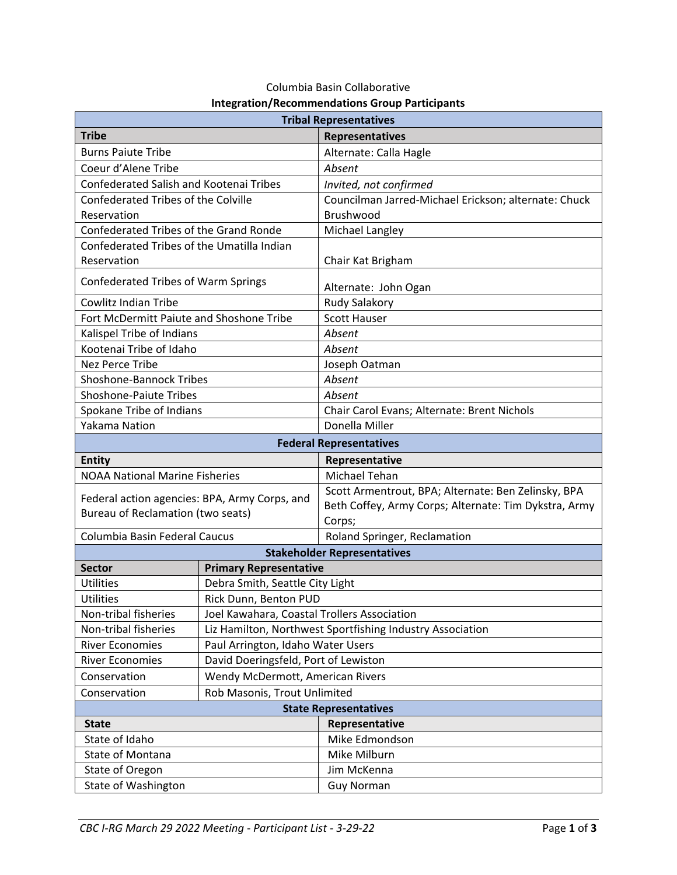| <b>Tribal Representatives</b>                                                      |                                                           |                                                       |
|------------------------------------------------------------------------------------|-----------------------------------------------------------|-------------------------------------------------------|
| <b>Tribe</b>                                                                       |                                                           | Representatives                                       |
| <b>Burns Paiute Tribe</b>                                                          |                                                           | Alternate: Calla Hagle                                |
| Coeur d'Alene Tribe                                                                |                                                           | Absent                                                |
| Confederated Salish and Kootenai Tribes                                            |                                                           | Invited, not confirmed                                |
| <b>Confederated Tribes of the Colville</b>                                         |                                                           | Councilman Jarred-Michael Erickson; alternate: Chuck  |
| Reservation                                                                        |                                                           | Brushwood                                             |
| Confederated Tribes of the Grand Ronde                                             |                                                           | Michael Langley                                       |
| Confederated Tribes of the Umatilla Indian                                         |                                                           |                                                       |
| Reservation                                                                        |                                                           | Chair Kat Brigham                                     |
| Confederated Tribes of Warm Springs                                                |                                                           | Alternate: John Ogan                                  |
| <b>Cowlitz Indian Tribe</b>                                                        |                                                           | Rudy Salakory                                         |
| Fort McDermitt Paiute and Shoshone Tribe                                           |                                                           | <b>Scott Hauser</b>                                   |
| Kalispel Tribe of Indians                                                          |                                                           | Absent                                                |
| Kootenai Tribe of Idaho                                                            |                                                           | Absent                                                |
| Nez Perce Tribe                                                                    |                                                           | Joseph Oatman                                         |
| <b>Shoshone-Bannock Tribes</b>                                                     |                                                           | Absent                                                |
| <b>Shoshone-Paiute Tribes</b>                                                      |                                                           | Absent                                                |
| Spokane Tribe of Indians                                                           |                                                           | Chair Carol Evans; Alternate: Brent Nichols           |
| <b>Yakama Nation</b>                                                               |                                                           | Donella Miller                                        |
| <b>Federal Representatives</b>                                                     |                                                           |                                                       |
| <b>Entity</b>                                                                      |                                                           | Representative                                        |
| <b>NOAA National Marine Fisheries</b>                                              |                                                           | Michael Tehan                                         |
| Federal action agencies: BPA, Army Corps, and<br>Bureau of Reclamation (two seats) |                                                           | Scott Armentrout, BPA; Alternate: Ben Zelinsky, BPA   |
|                                                                                    |                                                           | Beth Coffey, Army Corps; Alternate: Tim Dykstra, Army |
|                                                                                    |                                                           | Corps;                                                |
| Columbia Basin Federal Caucus                                                      |                                                           | Roland Springer, Reclamation                          |
| <b>Stakeholder Representatives</b>                                                 |                                                           |                                                       |
| <b>Sector</b>                                                                      | <b>Primary Representative</b>                             |                                                       |
| Utilities                                                                          | Debra Smith, Seattle City Light                           |                                                       |
| <b>Utilities</b>                                                                   | Rick Dunn, Benton PUD                                     |                                                       |
| Non-tribal fisheries                                                               | Joel Kawahara, Coastal Trollers Association               |                                                       |
| Non-tribal fisheries                                                               | Liz Hamilton, Northwest Sportfishing Industry Association |                                                       |
| <b>River Economies</b>                                                             | Paul Arrington, Idaho Water Users                         |                                                       |
| <b>River Economies</b>                                                             | David Doeringsfeld, Port of Lewiston                      |                                                       |
| Conservation                                                                       | Wendy McDermott, American Rivers                          |                                                       |
| Conservation                                                                       | Rob Masonis, Trout Unlimited                              |                                                       |
| <b>State Representatives</b>                                                       |                                                           |                                                       |
| Representative<br><b>State</b>                                                     |                                                           |                                                       |
| State of Idaho                                                                     |                                                           | Mike Edmondson                                        |
| State of Montana                                                                   |                                                           | Mike Milburn                                          |
| State of Oregon                                                                    |                                                           | Jim McKenna                                           |
| State of Washington                                                                |                                                           | <b>Guy Norman</b>                                     |

## Columbia Basin Collaborative **Integration/Recommendations Group Participants**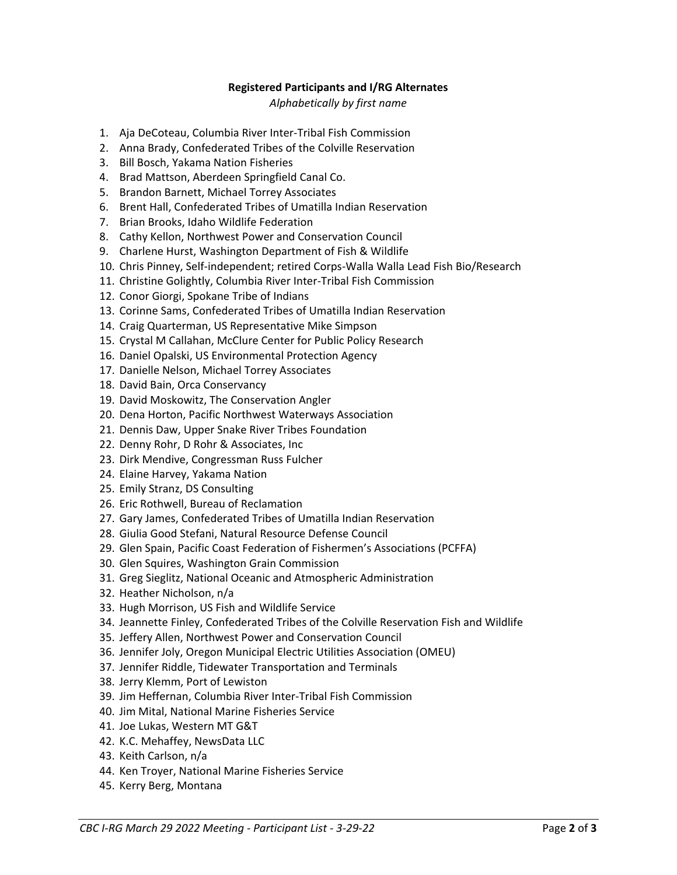## **Registered Participants and I/RG Alternates**

## *Alphabetically by first name*

- 1. Aja DeCoteau, Columbia River Inter-Tribal Fish Commission
- 2. Anna Brady, Confederated Tribes of the Colville Reservation
- 3. Bill Bosch, Yakama Nation Fisheries
- 4. Brad Mattson, Aberdeen Springfield Canal Co.
- 5. Brandon Barnett, Michael Torrey Associates
- 6. Brent Hall, Confederated Tribes of Umatilla Indian Reservation
- 7. Brian Brooks, Idaho Wildlife Federation
- 8. Cathy Kellon, Northwest Power and Conservation Council
- 9. Charlene Hurst, Washington Department of Fish & Wildlife
- 10. Chris Pinney, Self-independent; retired Corps-Walla Walla Lead Fish Bio/Research
- 11. Christine Golightly, Columbia River Inter-Tribal Fish Commission
- 12. Conor Giorgi, Spokane Tribe of Indians
- 13. Corinne Sams, Confederated Tribes of Umatilla Indian Reservation
- 14. Craig Quarterman, US Representative Mike Simpson
- 15. Crystal M Callahan, McClure Center for Public Policy Research
- 16. Daniel Opalski, US Environmental Protection Agency
- 17. Danielle Nelson, Michael Torrey Associates
- 18. David Bain, Orca Conservancy
- 19. David Moskowitz, The Conservation Angler
- 20. Dena Horton, Pacific Northwest Waterways Association
- 21. Dennis Daw, Upper Snake River Tribes Foundation
- 22. Denny Rohr, D Rohr & Associates, Inc
- 23. Dirk Mendive, Congressman Russ Fulcher
- 24. Elaine Harvey, Yakama Nation
- 25. Emily Stranz, DS Consulting
- 26. Eric Rothwell, Bureau of Reclamation
- 27. Gary James, Confederated Tribes of Umatilla Indian Reservation
- 28. Giulia Good Stefani, Natural Resource Defense Council
- 29. Glen Spain, Pacific Coast Federation of Fishermen's Associations (PCFFA)
- 30. Glen Squires, Washington Grain Commission
- 31. Greg Sieglitz, National Oceanic and Atmospheric Administration
- 32. Heather Nicholson, n/a
- 33. Hugh Morrison, US Fish and Wildlife Service
- 34. Jeannette Finley, Confederated Tribes of the Colville Reservation Fish and Wildlife
- 35. Jeffery Allen, Northwest Power and Conservation Council
- 36. Jennifer Joly, Oregon Municipal Electric Utilities Association (OMEU)
- 37. Jennifer Riddle, Tidewater Transportation and Terminals
- 38. Jerry Klemm, Port of Lewiston
- 39. Jim Heffernan, Columbia River Inter-Tribal Fish Commission
- 40. Jim Mital, National Marine Fisheries Service
- 41. Joe Lukas, Western MT G&T
- 42. K.C. Mehaffey, NewsData LLC
- 43. Keith Carlson, n/a
- 44. Ken Troyer, National Marine Fisheries Service
- 45. Kerry Berg, Montana